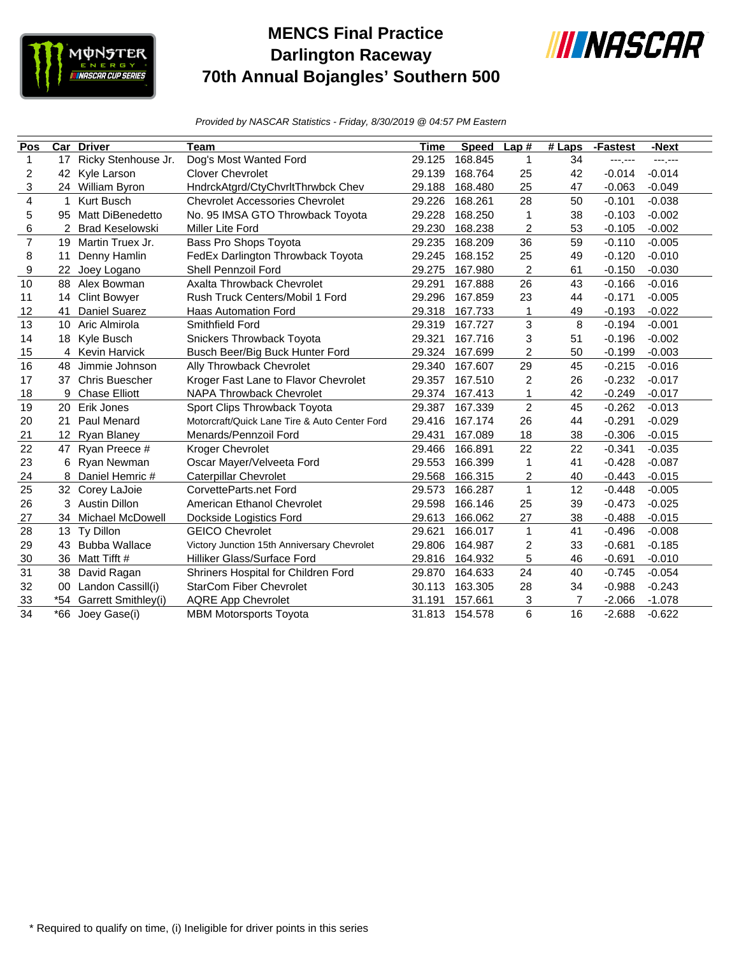

## **MENCS Final Practice Darlington Raceway 70th Annual Bojangles' Southern 500**



*Provided by NASCAR Statistics - Friday, 8/30/2019 @ 04:57 PM Eastern*

| Pos            | Car | <b>Driver</b>          | Team                                          | Time   | <b>Speed</b> | Lap#           | # Laps | -Fastest | -Next           |
|----------------|-----|------------------------|-----------------------------------------------|--------|--------------|----------------|--------|----------|-----------------|
| 1              | 17  | Ricky Stenhouse Jr.    | Dog's Most Wanted Ford                        | 29.125 | 168.845      | 1              | 34     | ---.---  | <b>---</b> ,--- |
| 2              | 42  | Kyle Larson            | <b>Clover Chevrolet</b>                       | 29.139 | 168.764      | 25             | 42     | $-0.014$ | $-0.014$        |
| 3              |     | 24 William Byron       | HndrckAtgrd/CtyChvrltThrwbck Chev             | 29.188 | 168.480      | 25             | 47     | $-0.063$ | $-0.049$        |
| 4              | 1   | Kurt Busch             | <b>Chevrolet Accessories Chevrolet</b>        | 29.226 | 168.261      | 28             | 50     | $-0.101$ | $-0.038$        |
| 5              | 95  | Matt DiBenedetto       | No. 95 IMSA GTO Throwback Toyota              | 29.228 | 168.250      | 1              | 38     | $-0.103$ | $-0.002$        |
| 6              | 2   | <b>Brad Keselowski</b> | Miller Lite Ford                              | 29.230 | 168.238      | $\overline{c}$ | 53     | $-0.105$ | $-0.002$        |
| $\overline{7}$ | 19  | Martin Truex Jr.       | Bass Pro Shops Toyota                         | 29.235 | 168.209      | 36             | 59     | $-0.110$ | $-0.005$        |
| 8              | 11  | Denny Hamlin           | FedEx Darlington Throwback Toyota             | 29.245 | 168.152      | 25             | 49     | $-0.120$ | $-0.010$        |
| 9              | 22  | Joey Logano            | Shell Pennzoil Ford                           | 29.275 | 167.980      | 2              | 61     | $-0.150$ | $-0.030$        |
| 10             | 88  | Alex Bowman            | Axalta Throwback Chevrolet                    | 29.291 | 167.888      | 26             | 43     | $-0.166$ | $-0.016$        |
| 11             | 14  | <b>Clint Bowyer</b>    | Rush Truck Centers/Mobil 1 Ford               | 29.296 | 167.859      | 23             | 44     | $-0.171$ | $-0.005$        |
| 12             | 41  | Daniel Suarez          | <b>Haas Automation Ford</b>                   | 29.318 | 167.733      | 1              | 49     | $-0.193$ | $-0.022$        |
| 13             | 10  | Aric Almirola          | Smithfield Ford                               | 29.319 | 167.727      | 3              | 8      | $-0.194$ | $-0.001$        |
| 14             | 18  | Kyle Busch             | Snickers Throwback Toyota                     | 29.321 | 167.716      | 3              | 51     | $-0.196$ | $-0.002$        |
| 15             |     | 4 Kevin Harvick        | Busch Beer/Big Buck Hunter Ford               | 29.324 | 167.699      | $\overline{c}$ | 50     | $-0.199$ | $-0.003$        |
| 16             | 48  | Jimmie Johnson         | Ally Throwback Chevrolet                      | 29.340 | 167.607      | 29             | 45     | $-0.215$ | $-0.016$        |
| 17             | 37  | <b>Chris Buescher</b>  | Kroger Fast Lane to Flavor Chevrolet          | 29.357 | 167.510      | $\overline{2}$ | 26     | $-0.232$ | $-0.017$        |
| 18             | 9   | <b>Chase Elliott</b>   | NAPA Throwback Chevrolet                      | 29.374 | 167.413      | 1              | 42     | $-0.249$ | $-0.017$        |
| 19             | 20  | Erik Jones             | Sport Clips Throwback Toyota                  | 29.387 | 167.339      | $\overline{2}$ | 45     | $-0.262$ | $-0.013$        |
| 20             | 21  | Paul Menard            | Motorcraft/Quick Lane Tire & Auto Center Ford | 29.416 | 167.174      | 26             | 44     | $-0.291$ | $-0.029$        |
| 21             | 12  | <b>Ryan Blaney</b>     | Menards/Pennzoil Ford                         | 29.431 | 167.089      | 18             | 38     | $-0.306$ | $-0.015$        |
| 22             | 47  | Ryan Preece #          | Kroger Chevrolet                              | 29.466 | 166.891      | 22             | 22     | $-0.341$ | $-0.035$        |
| 23             | 6   | Ryan Newman            | Oscar Mayer/Velveeta Ford                     | 29.553 | 166.399      | 1              | 41     | $-0.428$ | $-0.087$        |
| 24             | 8   | Daniel Hemric #        | <b>Caterpillar Chevrolet</b>                  | 29.568 | 166.315      | 2              | 40     | $-0.443$ | $-0.015$        |
| 25             |     | 32 Corey LaJoie        | CorvetteParts.net Ford                        | 29.573 | 166.287      | $\mathbf{1}$   | 12     | $-0.448$ | $-0.005$        |
| 26             | 3   | <b>Austin Dillon</b>   | American Ethanol Chevrolet                    | 29.598 | 166.146      | 25             | 39     | $-0.473$ | $-0.025$        |
| 27             | 34  | Michael McDowell       | Dockside Logistics Ford                       | 29.613 | 166.062      | 27             | 38     | $-0.488$ | $-0.015$        |
| 28             | 13  | Ty Dillon              | <b>GEICO Chevrolet</b>                        | 29.621 | 166.017      | $\mathbf{1}$   | 41     | $-0.496$ | $-0.008$        |
| 29             | 43  | <b>Bubba Wallace</b>   | Victory Junction 15th Anniversary Chevrolet   | 29.806 | 164.987      | $\overline{c}$ | 33     | $-0.681$ | $-0.185$        |
| 30             | 36  | Matt Tifft #           | Hilliker Glass/Surface Ford                   | 29.816 | 164.932      | 5              | 46     | $-0.691$ | $-0.010$        |
| 31             | 38  | David Ragan            | Shriners Hospital for Children Ford           | 29.870 | 164.633      | 24             | 40     | $-0.745$ | $-0.054$        |
| 32             | 00  | Landon Cassill(i)      | <b>StarCom Fiber Chevrolet</b>                | 30.113 | 163.305      | 28             | 34     | $-0.988$ | $-0.243$        |
| 33             | *54 | Garrett Smithley(i)    | <b>AQRE App Chevrolet</b>                     | 31.191 | 157.661      | 3              | 7      | $-2.066$ | $-1.078$        |
| 34             |     | *66 Joey Gase(i)       | <b>MBM Motorsports Toyota</b>                 | 31.813 | 154.578      | 6              | 16     | $-2.688$ | $-0.622$        |